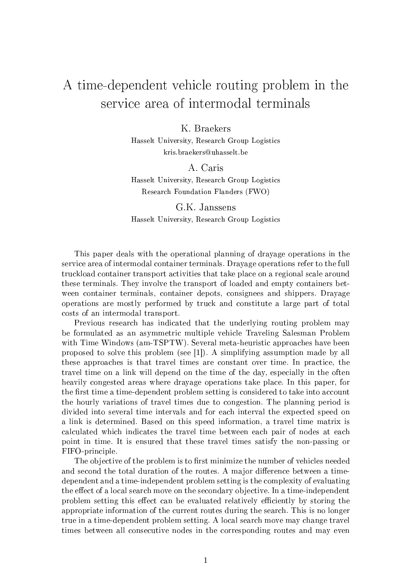## A time-dependent vehicle routing problem in the service area of intermodal terminals

K. Braekers

Hasselt University, Research Group Logistics kris.braekers@uhasselt.be

A. Caris

Hasselt University, Research Group Logistics Research Foundation Flanders (FWO)

G.K. Janssens Hasselt University, Research Group Logistics

This paper deals with the operational planning of drayage operations in the service area of intermodal container terminals. Drayage operations refer to the full truckload container transport activities that take place on a regional scale around these terminals. They involve the transport of loaded and empty containers between container terminals, container depots, consignees and shippers. Drayage operations are mostly performed by truck and constitute a large part of total costs of an intermodal transport.

Previous research has indicated that the underlying routing problem may be formulated as an asymmetric multiple vehicle Traveling Salesman Problem with Time Windows (am-TSPTW). Several meta-heuristic approaches have been proposed to solve this problem (see [1]). A simplifying assumption made by all these approaches is that travel times are constant over time. In practice, the travel time on a link will depend on the time of the day, especially in the often heavily congested areas where drayage operations take place. In this paper, for the first time a time-dependent problem setting is considered to take into account the hourly variations of travel times due to congestion. The planning period is divided into several time intervals and for each interval the expected speed on a link is determined. Based on this speed information, a travel time matrix is calculated which indicates the travel time between each pair of nodes at each point in time. It is ensured that these travel times satisfy the non-passing or FIFO-principle.

The objective of the problem is to first minimize the number of vehicles needed and second the total duration of the routes. A major difference between a timedependent and a time-independent problem setting is the complexity of evaluating the effect of a local search move on the secondary objective. In a time-independent problem setting this effect can be evaluated relatively efficiently by storing the appropriate information of the current routes during the search. This is no longer true in a time-dependent problem setting. A local search move may change travel times between all consecutive nodes in the corresponding routes and may even